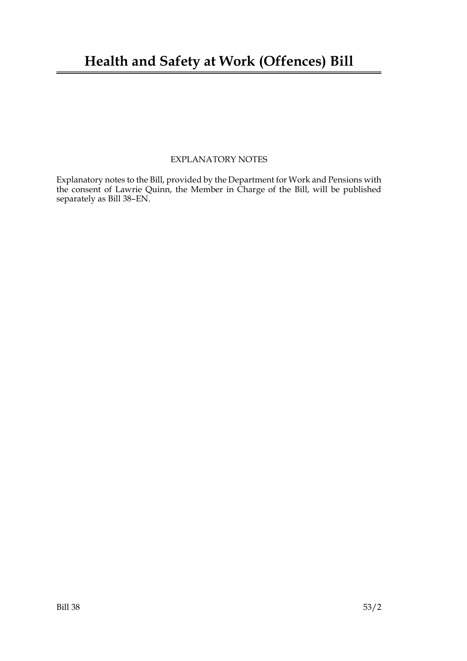## **Health and Safety at Work (Offences) Bill**

### EXPLANATORY NOTES

Explanatory notes to the Bill, provided by the Department for Work and Pensions with the consent of Lawrie Quinn, the Member in Charge of the Bill, will be published separately as Bill 38–EN.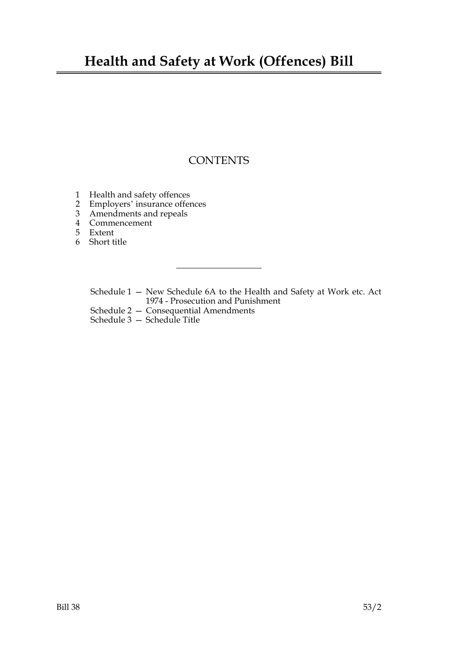## **Health and Safety at Work (Offences) Bill**

### **CONTENTS**

- 1 Health and safety offences
- 2 Employers' insurance offences
- 3 Amendments and repeals
- 4 Commencement
- 5 Extent
- 6 Short title

Schedule 1 — New Schedule 6A to the Health and Safety at Work etc. Act 1974 - Prosecution and Punishment

- Schedule 2 Consequential Amendments
- Schedule 3 Schedule Title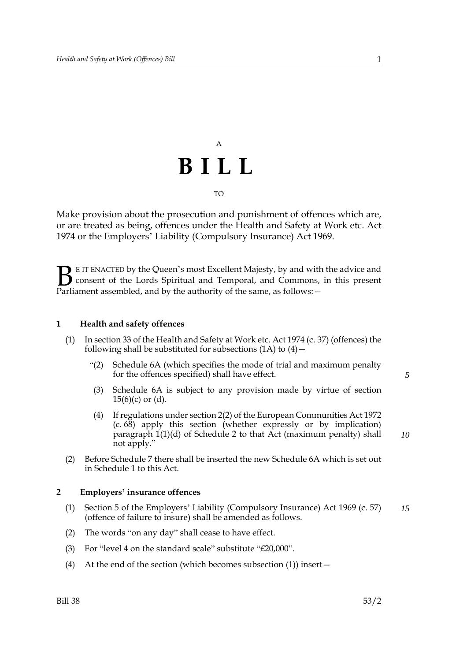# A **BILL** TO

Make provision about the prosecution and punishment of offences which are, or are treated as being, offences under the Health and Safety at Work etc. Act 1974 or the Employers' Liability (Compulsory Insurance) Act 1969.

E IT ENACTED by the Queen's most Excellent Majesty, by and with the advice and consent of the Lords Spiritual and Temporal, and Commons, in this present **B** E IT ENACTED by the Queen's most Excellent Majesty, by and with consent of the Lords Spiritual and Temporal, and Commons, Parliament assembled, and by the authority of the same, as follows:  $-$ 

### <span id="page-4-0"></span>**1 Health and safety offences**

- (1) In section 33 of the Health and Safety at Work etc. Act 1974 (c. 37) (offences) the following shall be substituted for subsections  $(1A)$  to  $(4)$  –
	- "(2) Schedule 6A (which specifies the mode of trial and maximum penalty for the offences specified) shall have effect.
	- (3) Schedule 6A is subject to any provision made by virtue of section  $15(6)(c)$  or (d).
	- (4) If regulations under section 2(2) of the European Communities Act 1972 (c. 68) apply this section (whether expressly or by implication) paragraph 1(1)(d) of Schedule 2 to that Act (maximum penalty) shall not apply."
- (2) Before Schedule 7 there shall be inserted the new Schedule 6A which is set out in Schedule [1](#page-7-0) to this Act.

### **2 Employers' insurance offences**

- (1) Section 5 of the Employers' Liability (Compulsory Insurance) Act 1969 (c. 57) (offence of failure to insure) shall be amended as follows. *15*
- (2) The words "on any day" shall cease to have effect.
- (3) For "level 4 on the standard scale" substitute "£20,000".
- (4) At the end of the section (which becomes subsection (1)) insert—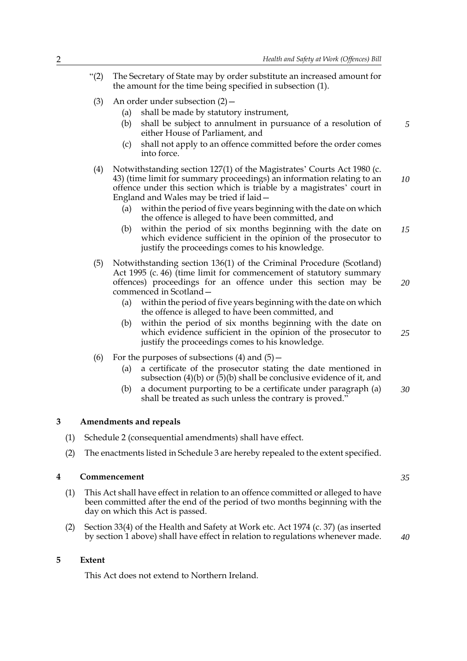- "(2) The Secretary of State may by order substitute an increased amount for the amount for the time being specified in subsection (1).
	- (3) An order under subsection (2)—
		- (a) shall be made by statutory instrument,
		- (b) shall be subject to annulment in pursuance of a resolution of either House of Parliament, and
		- (c) shall not apply to an offence committed before the order comes into force.
	- (4) Notwithstanding section 127(1) of the Magistrates' Courts Act 1980 (c. 43) (time limit for summary proceedings) an information relating to an offence under this section which is triable by a magistrates' court in England and Wales may be tried if laid— *10*
		- (a) within the period of five years beginning with the date on which the offence is alleged to have been committed, and
		- (b) within the period of six months beginning with the date on which evidence sufficient in the opinion of the prosecutor to justify the proceedings comes to his knowledge. *15*
	- (5) Notwithstanding section 136(1) of the Criminal Procedure (Scotland) Act 1995 (c. 46) (time limit for commencement of statutory summary offences) proceedings for an offence under this section may be commenced in Scotland—
		- (a) within the period of five years beginning with the date on which the offence is alleged to have been committed, and
		- (b) within the period of six months beginning with the date on which evidence sufficient in the opinion of the prosecutor to justify the proceedings comes to his knowledge.
	- (6) For the purposes of subsections  $(4)$  and  $(5)$  -
		- (a) a certificate of the prosecutor stating the date mentioned in subsection (4)(b) or  $(5)$ (b) shall be conclusive evidence of it, and
		- (b) a document purporting to be a certificate under paragraph (a) shall be treated as such unless the contrary is proved." *30*

### <span id="page-5-0"></span>**3 Amendments and repeals**

- (1) Schedule [2](#page-8-0) (consequential amendments) shall have effect.
- (2) The enactments listed in Schedule [3](#page-9-0) are hereby repealed to the extent specified.

#### **4 Commencement**

- (1) This Act shall have effect in relation to an offence committed or alleged to have been committed after the end of the period of two months beginning with the day on which this Act is passed.
- (2) Section 33(4) of the Health and Safety at Work etc. Act 1974 (c. 37) (as inserted by section 1 above) shall have effect in relation to regulations whenever made.

*35*

#### **5 Extent**

This Act does not extend to Northern Ireland.

*20*

*25*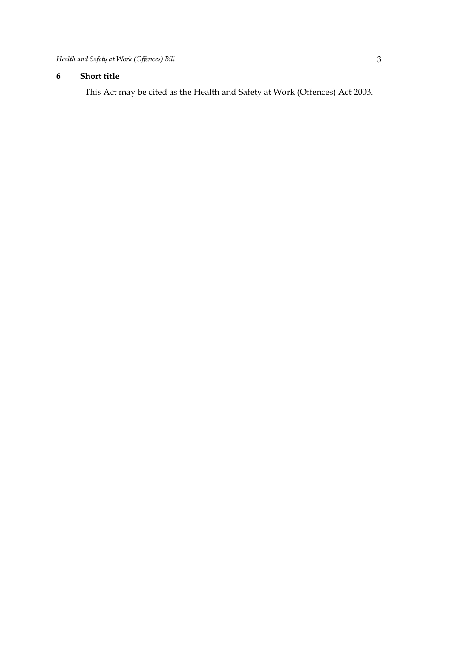### **6 Short title**

This Act may be cited as the Health and Safety at Work (Offences) Act 2003.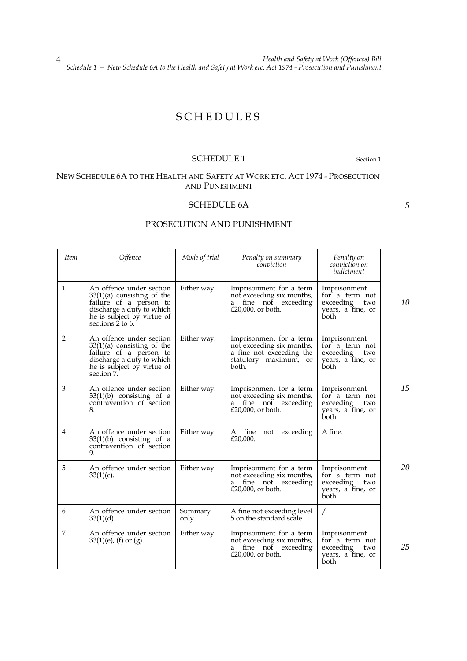### SCHEDULES

### <span id="page-7-0"></span>SCHEDULE [1](#page-4-0) Section 1

*5*

### NEW SCHEDULE 6A TO THE HEALTH AND SAFETY AT WORK ETC. ACT 1974 - PROSECUTION AND PUNISHMENT

### SCHEDULE 6A

### PROSECUTION AND PUNISHMENT

| <b>Item</b>  | Offence                                                                                                                                                           | Mode of trial    | Penalty on summary<br>conviction                                                                                   | Penalty on<br>conviction on<br>indictment                                        |    |
|--------------|-------------------------------------------------------------------------------------------------------------------------------------------------------------------|------------------|--------------------------------------------------------------------------------------------------------------------|----------------------------------------------------------------------------------|----|
| $\mathbf{1}$ | An offence under section<br>$33(1)(a)$ consisting of the<br>failure of a person to<br>discharge a duty to which<br>he is subject by virtue of<br>sections 2 to 6. | Either way.      | Imprisonment for a term<br>not exceeding six months,<br>fine not exceeding<br>a<br>£20,000, or both.               | Imprisonment<br>for a term not<br>exceeding<br>two<br>years, a fine, or<br>both. | 10 |
| 2            | An offence under section<br>$33(1)(a)$ consisting of the<br>failure of a person to<br>discharge a duty to which<br>he is subject by virtue of<br>section 7.       | Either way.      | Imprisonment for a term<br>not exceeding six months,<br>a fine not exceeding the<br>statutory maximum, or<br>both. | Imprisonment<br>for a term not<br>exceeding<br>two<br>years, a fine, or<br>both. |    |
| 3            | An offence under section<br>$33(1)(b)$ consisting of a<br>contravention of section<br>8.                                                                          | Either way.      | Imprisonment for a term<br>not exceeding six months,<br>fine not exceeding<br>a<br>£20,000, or both.               | Imprisonment<br>for a term not<br>exceeding<br>two<br>years, a fine, or<br>both. | 15 |
| 4            | An offence under section<br>$33(1)(b)$ consisting of a<br>contravention of section<br>9.                                                                          | Either way.      | A fine<br>not exceeding<br>£20,000.                                                                                | A fine.                                                                          |    |
| 5            | An offence under section<br>$33(1)(c)$ .                                                                                                                          | Either way.      | Imprisonment for a term<br>not exceeding six months,<br>fine not exceeding<br>a<br>£20,000, or both.               | Imprisonment<br>for a term not<br>exceeding<br>two<br>years, a fine, or<br>both. | 20 |
| 6            | An offence under section<br>$33(1)(d)$ .                                                                                                                          | Summary<br>only. | A fine not exceeding level<br>5 on the standard scale.                                                             | Τ                                                                                |    |
| 7            | An offence under section<br>$33(1)(e)$ , (f) or (g).                                                                                                              | Either way.      | Imprisonment for a term<br>not exceeding six months,<br>fine not exceeding<br>a<br>£20,000, or both.               | Imprisonment<br>for a term not<br>exceeding<br>two<br>years, a fine, or<br>both. | 25 |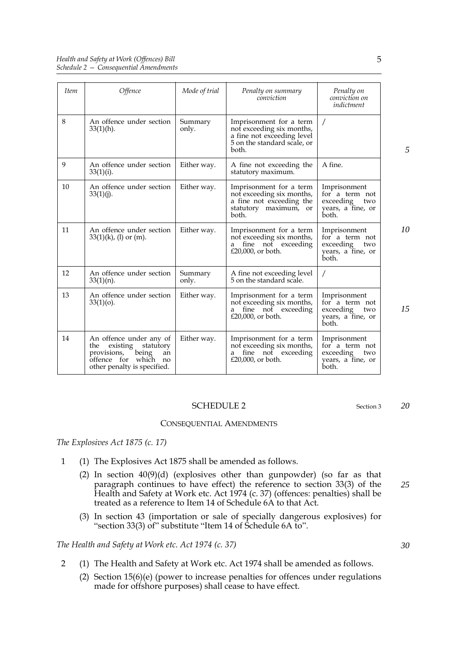| <i>Item</i> | Offence                                                                                                                                         | Mode of trial    | Penalty on summary<br>conviction                                                                                           | Penalty on<br>conviction on<br>indictment                                        |
|-------------|-------------------------------------------------------------------------------------------------------------------------------------------------|------------------|----------------------------------------------------------------------------------------------------------------------------|----------------------------------------------------------------------------------|
| 8           | An offence under section<br>$33(1)(h)$ .                                                                                                        | Summary<br>only. | Imprisonment for a term<br>not exceeding six months,<br>a fine not exceeding level<br>5 on the standard scale, or<br>both. | $\prime$                                                                         |
| 9           | An offence under section<br>$33(1)(i)$ .                                                                                                        | Either way.      | A fine not exceeding the<br>statutory maximum.                                                                             | A fine.                                                                          |
| 10          | An offence under section<br>$33(1)(j)$ .                                                                                                        | Either way.      | Imprisonment for a term<br>not exceeding six months,<br>a fine not exceeding the<br>statutory maximum, or<br>both.         | Imprisonment<br>for a term not<br>exceeding<br>two<br>years, a fine, or<br>both. |
| 11          | An offence under section<br>$33(1)(k)$ , (l) or (m).                                                                                            | Either way.      | Imprisonment for a term<br>not exceeding six months,<br>fine not exceeding<br>a<br>£20,000, or both.                       | Imprisonment<br>for a term not<br>exceeding<br>two<br>years, a fine, or<br>both. |
| 12          | An offence under section<br>$33(1)(n)$ .                                                                                                        | Summary<br>only. | A fine not exceeding level<br>5 on the standard scale.                                                                     | $\prime$                                                                         |
| 13          | An offence under section<br>$33(1)(o)$ .                                                                                                        | Either way.      | Imprisonment for a term<br>not exceeding six months,<br>fine not exceeding<br>a<br>£20,000, or both.                       | Imprisonment<br>for a term not<br>exceeding<br>two<br>years, a fine, or<br>both. |
| 14          | An offence under any of<br>existing<br>statutory<br>the<br>being<br>provisions,<br>an<br>offence for<br>which no<br>other penalty is specified. | Either way.      | Imprisonment for a term<br>not exceeding six months,<br>fine not exceeding<br>a<br>£20,000, or both.                       | Imprisonment<br>for a term not<br>exceeding<br>two<br>years, a fine, or<br>both. |

### <span id="page-8-0"></span>SCHEDULE 2 Section [3](#page-5-0)

#### CONSEQUENTIAL AMENDMENTS

*The Explosives Act 1875 (c. 17)*

- 1 (1) The Explosives Act 1875 shall be amended as follows.
	- (2) In section 40(9)(d) (explosives other than gunpowder) (so far as that paragraph continues to have effect) the reference to section 33(3) of the Health and Safety at Work etc. Act 1974 (c. 37) (offences: penalties) shall be treated as a reference to Item 14 of Schedule 6A to that Act.
	- (3) In section 43 (importation or sale of specially dangerous explosives) for "section 33(3) of" substitute "Item 14 of Schedule 6A to".

*The Health and Safety at Work etc. Act 1974 (c. 37)*

- 2 (1) The Health and Safety at Work etc. Act 1974 shall be amended as follows.
	- (2) Section 15(6)(e) (power to increase penalties for offences under regulations made for offshore purposes) shall cease to have effect.

5

*20*

*15*

*5*

*10*

*25*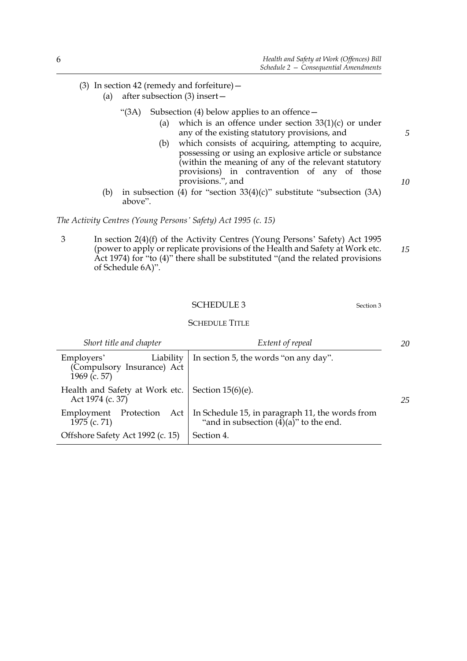- (3) In section 42 (remedy and forfeiture)—
	- (a) after subsection (3) insert—
		- "(3A) Subsection (4) below applies to an offence—
			- (a) which is an offence under section  $33(1)(c)$  or under any of the existing statutory provisions, and
			- (b) which consists of acquiring, attempting to acquire, possessing or using an explosive article or substance (within the meaning of any of the relevant statutory provisions) in contravention of any of those provisions.", and
	- (b) in subsection (4) for "section  $33(4)(c)$ " substitute "subsection  $(3A)$ above".

*The Activity Centres (Young Persons' Safety) Act 1995 (c. 15)*

3 In section 2(4)(f) of the Activity Centres (Young Persons' Safety) Act 1995 (power to apply or replicate provisions of the Health and Safety at Work etc. Act 1974) for "to (4)" there shall be substituted "(and the related provisions of Schedule 6A)". *15*

### <span id="page-9-0"></span>SCHEDULE [3](#page-5-0) Section 3

SCHEDULE TITLE

| Short title and chapter                                               | Extent of repeal                                                                                        |  |
|-----------------------------------------------------------------------|---------------------------------------------------------------------------------------------------------|--|
| Liability<br>Employers'<br>(Compulsory Insurance) Act<br>1969 (c. 57) | In section 5, the words "on any day".                                                                   |  |
| Health and Safety at Work etc.<br>Act 1974 (c. 37)                    | Section $15(6)(e)$ .                                                                                    |  |
| Protection Act<br>Employment<br>1975 (c. 71)                          | In Schedule 15, in paragraph 11, the words from<br>"and in subsection $(\overline{4})(a)$ " to the end. |  |
| Offshore Safety Act 1992 (c. 15)                                      | Section 4.                                                                                              |  |

*5*